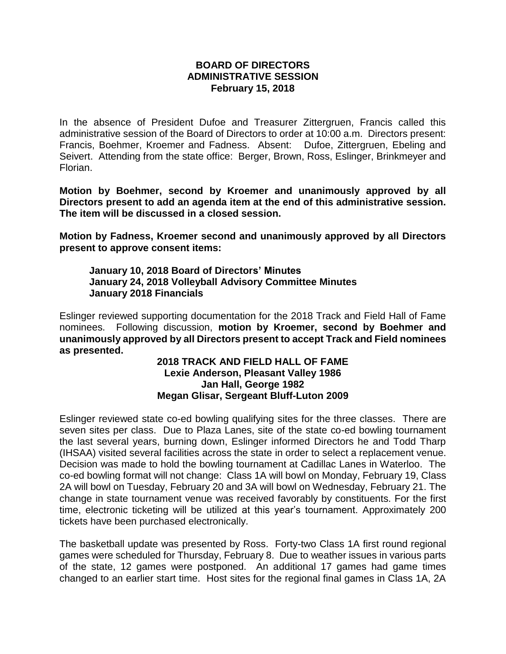## **BOARD OF DIRECTORS ADMINISTRATIVE SESSION February 15, 2018**

In the absence of President Dufoe and Treasurer Zittergruen, Francis called this administrative session of the Board of Directors to order at 10:00 a.m. Directors present: Francis, Boehmer, Kroemer and Fadness. Absent: Dufoe, Zittergruen, Ebeling and Seivert. Attending from the state office: Berger, Brown, Ross, Eslinger, Brinkmeyer and Florian.

**Motion by Boehmer, second by Kroemer and unanimously approved by all Directors present to add an agenda item at the end of this administrative session. The item will be discussed in a closed session.**

**Motion by Fadness, Kroemer second and unanimously approved by all Directors present to approve consent items:**

**January 10, 2018 Board of Directors' Minutes January 24, 2018 Volleyball Advisory Committee Minutes January 2018 Financials**

Eslinger reviewed supporting documentation for the 2018 Track and Field Hall of Fame nominees. Following discussion, **motion by Kroemer, second by Boehmer and unanimously approved by all Directors present to accept Track and Field nominees as presented.** 

## **2018 TRACK AND FIELD HALL OF FAME Lexie Anderson, Pleasant Valley 1986 Jan Hall, George 1982 Megan Glisar, Sergeant Bluff-Luton 2009**

Eslinger reviewed state co-ed bowling qualifying sites for the three classes. There are seven sites per class. Due to Plaza Lanes, site of the state co-ed bowling tournament the last several years, burning down, Eslinger informed Directors he and Todd Tharp (IHSAA) visited several facilities across the state in order to select a replacement venue. Decision was made to hold the bowling tournament at Cadillac Lanes in Waterloo. The co-ed bowling format will not change: Class 1A will bowl on Monday, February 19, Class 2A will bowl on Tuesday, February 20 and 3A will bowl on Wednesday, February 21. The change in state tournament venue was received favorably by constituents. For the first time, electronic ticketing will be utilized at this year's tournament. Approximately 200 tickets have been purchased electronically.

The basketball update was presented by Ross. Forty-two Class 1A first round regional games were scheduled for Thursday, February 8. Due to weather issues in various parts of the state, 12 games were postponed. An additional 17 games had game times changed to an earlier start time. Host sites for the regional final games in Class 1A, 2A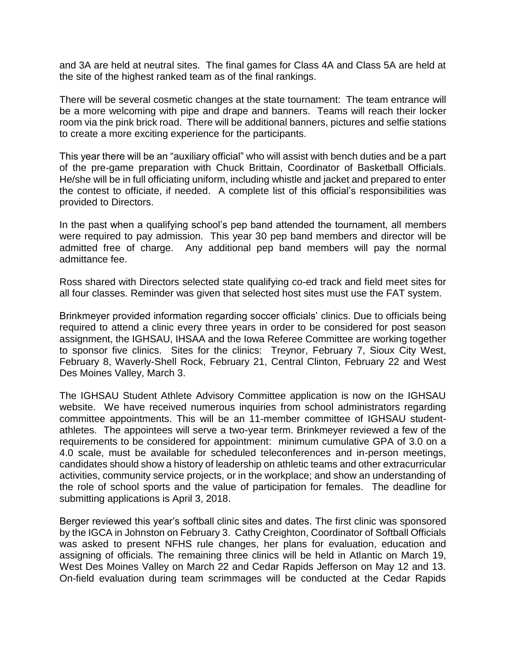and 3A are held at neutral sites. The final games for Class 4A and Class 5A are held at the site of the highest ranked team as of the final rankings.

There will be several cosmetic changes at the state tournament: The team entrance will be a more welcoming with pipe and drape and banners. Teams will reach their locker room via the pink brick road. There will be additional banners, pictures and selfie stations to create a more exciting experience for the participants.

This year there will be an "auxiliary official" who will assist with bench duties and be a part of the pre-game preparation with Chuck Brittain, Coordinator of Basketball Officials. He/she will be in full officiating uniform, including whistle and jacket and prepared to enter the contest to officiate, if needed. A complete list of this official's responsibilities was provided to Directors.

In the past when a qualifying school's pep band attended the tournament, all members were required to pay admission. This year 30 pep band members and director will be admitted free of charge. Any additional pep band members will pay the normal admittance fee.

Ross shared with Directors selected state qualifying co-ed track and field meet sites for all four classes. Reminder was given that selected host sites must use the FAT system.

Brinkmeyer provided information regarding soccer officials' clinics. Due to officials being required to attend a clinic every three years in order to be considered for post season assignment, the IGHSAU, IHSAA and the Iowa Referee Committee are working together to sponsor five clinics. Sites for the clinics: Treynor, February 7, Sioux City West, February 8, Waverly-Shell Rock, February 21, Central Clinton, February 22 and West Des Moines Valley, March 3.

The IGHSAU Student Athlete Advisory Committee application is now on the IGHSAU website. We have received numerous inquiries from school administrators regarding committee appointments. This will be an 11-member committee of IGHSAU studentathletes. The appointees will serve a two-year term. Brinkmeyer reviewed a few of the requirements to be considered for appointment: minimum cumulative GPA of 3.0 on a 4.0 scale, must be available for scheduled teleconferences and in-person meetings, candidates should show a history of leadership on athletic teams and other extracurricular activities, community service projects, or in the workplace; and show an understanding of the role of school sports and the value of participation for females. The deadline for submitting applications is April 3, 2018.

Berger reviewed this year's softball clinic sites and dates. The first clinic was sponsored by the IGCA in Johnston on February 3. Cathy Creighton, Coordinator of Softball Officials was asked to present NFHS rule changes, her plans for evaluation, education and assigning of officials. The remaining three clinics will be held in Atlantic on March 19, West Des Moines Valley on March 22 and Cedar Rapids Jefferson on May 12 and 13. On-field evaluation during team scrimmages will be conducted at the Cedar Rapids